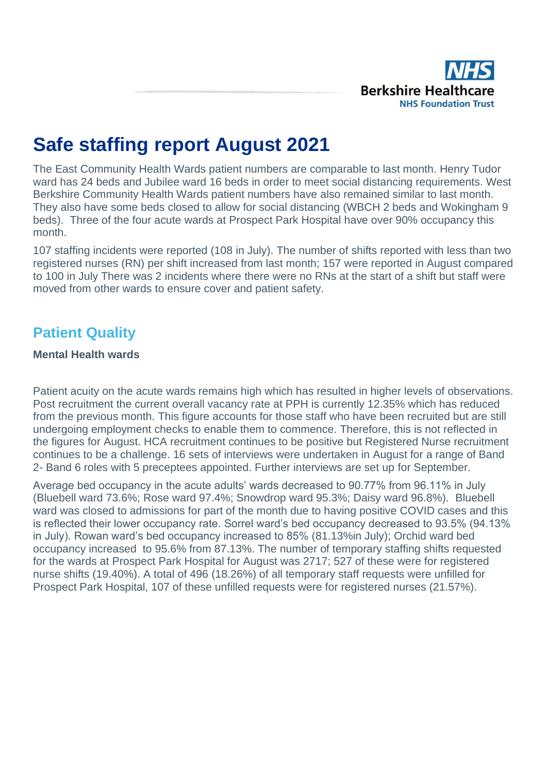

# **Safe staffing report August 2021**

The East Community Health Wards patient numbers are comparable to last month. Henry Tudor ward has 24 beds and Jubilee ward 16 beds in order to meet social distancing requirements. West Berkshire Community Health Wards patient numbers have also remained similar to last month. They also have some beds closed to allow for social distancing (WBCH 2 beds and Wokingham 9 beds). Three of the four acute wards at Prospect Park Hospital have over 90% occupancy this month.

107 staffing incidents were reported (108 in July). The number of shifts reported with less than two registered nurses (RN) per shift increased from last month; 157 were reported in August compared to 100 in July There was 2 incidents where there were no RNs at the start of a shift but staff were moved from other wards to ensure cover and patient safety.

# **Patient Quality**

#### **Mental Health wards**

Patient acuity on the acute wards remains high which has resulted in higher levels of observations. Post recruitment the current overall vacancy rate at PPH is currently 12.35% which has reduced from the previous month. This figure accounts for those staff who have been recruited but are still undergoing employment checks to enable them to commence. Therefore, this is not reflected in the figures for August. HCA recruitment continues to be positive but Registered Nurse recruitment continues to be a challenge. 16 sets of interviews were undertaken in August for a range of Band 2- Band 6 roles with 5 preceptees appointed. Further interviews are set up for September.

Average bed occupancy in the acute adults' wards decreased to 90.77% from 96.11% in July (Bluebell ward 73.6%; Rose ward 97.4%; Snowdrop ward 95.3%; Daisy ward 96.8%). Bluebell ward was closed to admissions for part of the month due to having positive COVID cases and this is reflected their lower occupancy rate. Sorrel ward's bed occupancy decreased to 93.5% (94.13% in July). Rowan ward's bed occupancy increased to 85% (81.13%in July); Orchid ward bed occupancy increased to 95.6% from 87.13%. The number of temporary staffing shifts requested for the wards at Prospect Park Hospital for August was 2717; 527 of these were for registered nurse shifts (19.40%). A total of 496 (18.26%) of all temporary staff requests were unfilled for Prospect Park Hospital, 107 of these unfilled requests were for registered nurses (21.57%).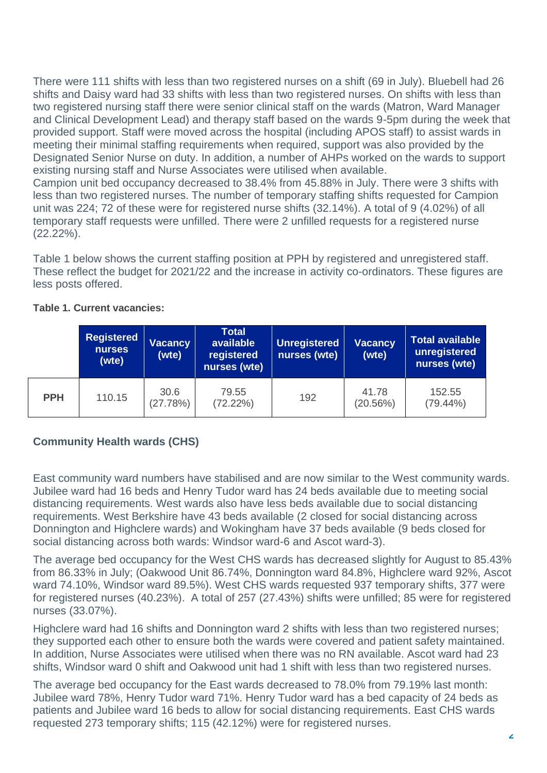There were 111 shifts with less than two registered nurses on a shift (69 in July). Bluebell had 26 shifts and Daisy ward had 33 shifts with less than two registered nurses. On shifts with less than two registered nursing staff there were senior clinical staff on the wards (Matron, Ward Manager and Clinical Development Lead) and therapy staff based on the wards 9-5pm during the week that provided support. Staff were moved across the hospital (including APOS staff) to assist wards in meeting their minimal staffing requirements when required, support was also provided by the Designated Senior Nurse on duty. In addition, a number of AHPs worked on the wards to support existing nursing staff and Nurse Associates were utilised when available.

Campion unit bed occupancy decreased to 38.4% from 45.88% in July. There were 3 shifts with less than two registered nurses. The number of temporary staffing shifts requested for Campion unit was 224; 72 of these were for registered nurse shifts (32.14%). A total of 9 (4.02%) of all temporary staff requests were unfilled. There were 2 unfilled requests for a registered nurse (22.22%).

Table 1 below shows the current staffing position at PPH by registered and unregistered staff. These reflect the budget for 2021/22 and the increase in activity co-ordinators. These figures are less posts offered.

|            | <b>Registered</b><br><b>Vacancy</b><br><b>nurses</b><br>(wte)<br>(wte) |                  | <b>Total</b><br>available<br>registered<br>nurses (wte) | <b>Unregistered</b><br>nurses (wte) | <b>Vacancy</b><br>(wte) | <b>Total available</b><br>unregistered<br>nurses (wte) |  |  |
|------------|------------------------------------------------------------------------|------------------|---------------------------------------------------------|-------------------------------------|-------------------------|--------------------------------------------------------|--|--|
| <b>PPH</b> | 110.15                                                                 | 30.6<br>(27.78%) | 79.55<br>(72.22%)                                       | 192                                 | 41.78<br>(20.56%)       | 152.55<br>$(79.44\%)$                                  |  |  |

#### **Table 1. Current vacancies:**

### **Community Health wards (CHS)**

East community ward numbers have stabilised and are now similar to the West community wards. Jubilee ward had 16 beds and Henry Tudor ward has 24 beds available due to meeting social distancing requirements. West wards also have less beds available due to social distancing requirements. West Berkshire have 43 beds available (2 closed for social distancing across Donnington and Highclere wards) and Wokingham have 37 beds available (9 beds closed for social distancing across both wards: Windsor ward-6 and Ascot ward-3).

The average bed occupancy for the West CHS wards has decreased slightly for August to 85.43% from 86.33% in July; (Oakwood Unit 86.74%, Donnington ward 84.8%, Highclere ward 92%, Ascot ward 74.10%, Windsor ward 89.5%). West CHS wards requested 937 temporary shifts, 377 were for registered nurses (40.23%). A total of 257 (27.43%) shifts were unfilled; 85 were for registered nurses (33.07%).

Highclere ward had 16 shifts and Donnington ward 2 shifts with less than two registered nurses; they supported each other to ensure both the wards were covered and patient safety maintained. In addition, Nurse Associates were utilised when there was no RN available. Ascot ward had 23 shifts, Windsor ward 0 shift and Oakwood unit had 1 shift with less than two registered nurses.

The average bed occupancy for the East wards decreased to 78.0% from 79.19% last month: Jubilee ward 78%, Henry Tudor ward 71%. Henry Tudor ward has a bed capacity of 24 beds as patients and Jubilee ward 16 beds to allow for social distancing requirements. East CHS wards requested 273 temporary shifts; 115 (42.12%) were for registered nurses.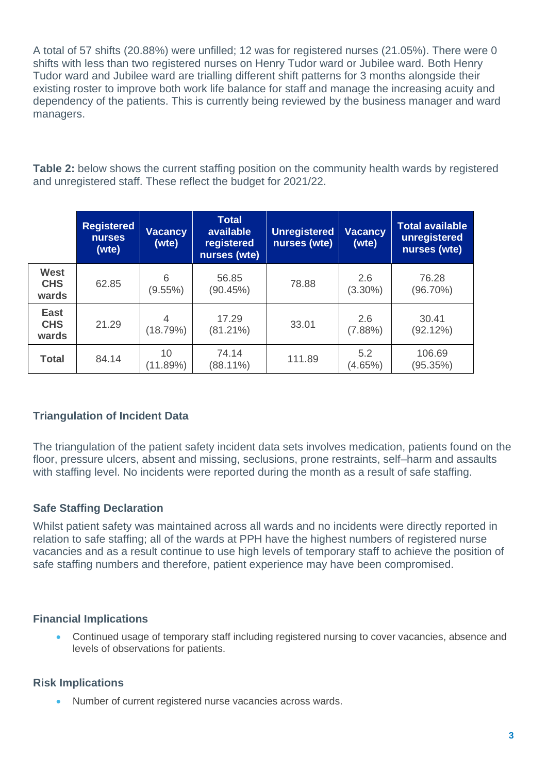A total of 57 shifts (20.88%) were unfilled; 12 was for registered nurses (21.05%). There were 0 shifts with less than two registered nurses on Henry Tudor ward or Jubilee ward. Both Henry Tudor ward and Jubilee ward are trialling different shift patterns for 3 months alongside their existing roster to improve both work life balance for staff and manage the increasing acuity and dependency of the patients. This is currently being reviewed by the business manager and ward managers.

**Table 2:** below shows the current staffing position on the community health wards by registered and unregistered staff. These reflect the budget for 2021/22.

|                                    | <b>Registered</b><br><b>nurses</b><br>(wte) | <b>Total</b><br>available<br>Vacancy<br>(wte)<br>registered<br>nurses (wte) |                      | <b>Unregistered</b><br>nurses (wte) | <b>Vacancy</b><br>(wte) | <b>Total available</b><br>unregistered<br>nurses (wte) |  |  |
|------------------------------------|---------------------------------------------|-----------------------------------------------------------------------------|----------------------|-------------------------------------|-------------------------|--------------------------------------------------------|--|--|
| <b>West</b><br><b>CHS</b><br>wards | 62.85                                       | 6<br>$(9.55\%)$                                                             | 56.85<br>(90.45%)    | 78.88                               | 2.6<br>$(3.30\%)$       | 76.28<br>$(96.70\%)$                                   |  |  |
| <b>East</b><br><b>CHS</b><br>wards | 21.29                                       | 4<br>(18.79%)                                                               | 17.29<br>$(81.21\%)$ | 33.01                               | 2.6<br>(7.88%)          | 30.41<br>(92.12%)                                      |  |  |
| <b>Total</b>                       | 84.14                                       | 10<br>(11.89%)                                                              | 74.14<br>$(88.11\%)$ | 111.89                              | 5.2<br>(4.65%)          | 106.69<br>(95.35%)                                     |  |  |

### **Triangulation of Incident Data**

The triangulation of the patient safety incident data sets involves medication, patients found on the floor, pressure ulcers, absent and missing, seclusions, prone restraints, self–harm and assaults with staffing level. No incidents were reported during the month as a result of safe staffing.

### **Safe Staffing Declaration**

Whilst patient safety was maintained across all wards and no incidents were directly reported in relation to safe staffing; all of the wards at PPH have the highest numbers of registered nurse vacancies and as a result continue to use high levels of temporary staff to achieve the position of safe staffing numbers and therefore, patient experience may have been compromised.

### **Financial Implications**

• Continued usage of temporary staff including registered nursing to cover vacancies, absence and levels of observations for patients.

### **Risk Implications**

• Number of current registered nurse vacancies across wards.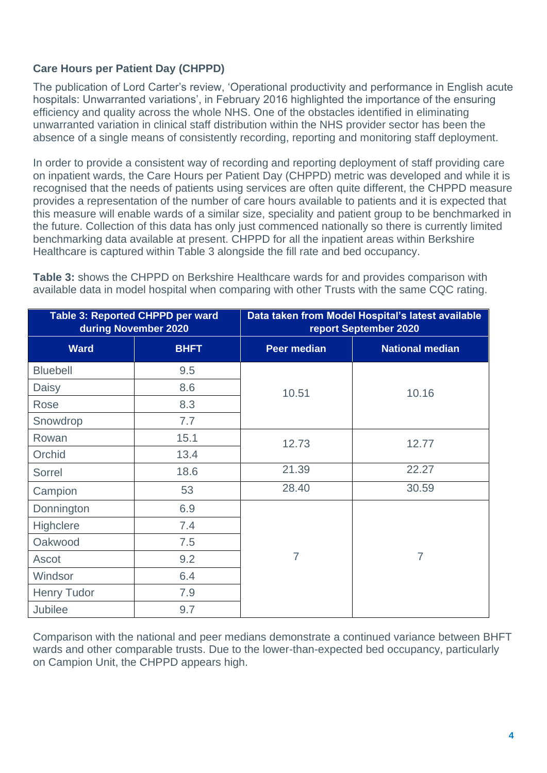## **Care Hours per Patient Day (CHPPD)**

The publication of Lord Carter's review, 'Operational productivity and performance in English acute hospitals: Unwarranted variations', in February 2016 highlighted the importance of the ensuring efficiency and quality across the whole NHS. One of the obstacles identified in eliminating unwarranted variation in clinical staff distribution within the NHS provider sector has been the absence of a single means of consistently recording, reporting and monitoring staff deployment.

In order to provide a consistent way of recording and reporting deployment of staff providing care on inpatient wards, the Care Hours per Patient Day (CHPPD) metric was developed and while it is recognised that the needs of patients using services are often quite different, the CHPPD measure provides a representation of the number of care hours available to patients and it is expected that this measure will enable wards of a similar size, speciality and patient group to be benchmarked in the future. Collection of this data has only just commenced nationally so there is currently limited benchmarking data available at present. CHPPD for all the inpatient areas within Berkshire Healthcare is captured within Table 3 alongside the fill rate and bed occupancy.

**Table 3:** shows the CHPPD on Berkshire Healthcare wards for and provides comparison with available data in model hospital when comparing with other Trusts with the same CQC rating.

|                    | Table 3: Reported CHPPD per ward<br>during November 2020 | Data taken from Model Hospital's latest available<br>report September 2020 |                        |  |  |  |  |  |  |  |
|--------------------|----------------------------------------------------------|----------------------------------------------------------------------------|------------------------|--|--|--|--|--|--|--|
| <b>Ward</b>        | <b>BHFT</b>                                              | <b>Peer median</b>                                                         | <b>National median</b> |  |  |  |  |  |  |  |
| <b>Bluebell</b>    | 9.5                                                      |                                                                            |                        |  |  |  |  |  |  |  |
| Daisy              | 8.6                                                      | 10.51                                                                      | 10.16                  |  |  |  |  |  |  |  |
| Rose               | 8.3                                                      |                                                                            |                        |  |  |  |  |  |  |  |
| Snowdrop           | 7.7                                                      |                                                                            |                        |  |  |  |  |  |  |  |
| Rowan              | 15.1                                                     | 12.73                                                                      | 12.77                  |  |  |  |  |  |  |  |
| Orchid             | 13.4                                                     |                                                                            |                        |  |  |  |  |  |  |  |
| Sorrel             | 18.6                                                     | 21.39                                                                      | 22.27                  |  |  |  |  |  |  |  |
| Campion            | 53                                                       | 28.40                                                                      | 30.59                  |  |  |  |  |  |  |  |
| Donnington         | 6.9                                                      |                                                                            |                        |  |  |  |  |  |  |  |
| <b>Highclere</b>   | 7.4                                                      |                                                                            |                        |  |  |  |  |  |  |  |
| Oakwood            | 7.5                                                      |                                                                            |                        |  |  |  |  |  |  |  |
| Ascot              | 9.2                                                      | $\overline{7}$                                                             | $\overline{7}$         |  |  |  |  |  |  |  |
| Windsor            | 6.4                                                      |                                                                            |                        |  |  |  |  |  |  |  |
| <b>Henry Tudor</b> | 7.9                                                      |                                                                            |                        |  |  |  |  |  |  |  |
| <b>Jubilee</b>     | 9.7                                                      |                                                                            |                        |  |  |  |  |  |  |  |

Comparison with the national and peer medians demonstrate a continued variance between BHFT wards and other comparable trusts. Due to the lower-than-expected bed occupancy, particularly on Campion Unit, the CHPPD appears high.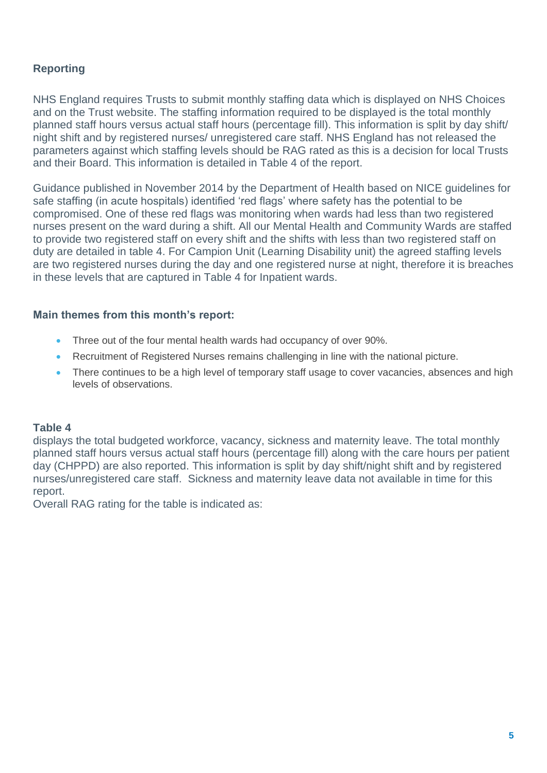# **Reporting**

NHS England requires Trusts to submit monthly staffing data which is displayed on NHS Choices and on the Trust website. The staffing information required to be displayed is the total monthly planned staff hours versus actual staff hours (percentage fill). This information is split by day shift/ night shift and by registered nurses/ unregistered care staff. NHS England has not released the parameters against which staffing levels should be RAG rated as this is a decision for local Trusts and their Board. This information is detailed in Table 4 of the report.

Guidance published in November 2014 by the Department of Health based on NICE guidelines for safe staffing (in acute hospitals) identified 'red flags' where safety has the potential to be compromised. One of these red flags was monitoring when wards had less than two registered nurses present on the ward during a shift. All our Mental Health and Community Wards are staffed to provide two registered staff on every shift and the shifts with less than two registered staff on duty are detailed in table 4. For Campion Unit (Learning Disability unit) the agreed staffing levels are two registered nurses during the day and one registered nurse at night, therefore it is breaches in these levels that are captured in Table 4 for Inpatient wards.

#### **Main themes from this month's report:**

- Three out of the four mental health wards had occupancy of over 90%.
- Recruitment of Registered Nurses remains challenging in line with the national picture.
- There continues to be a high level of temporary staff usage to cover vacancies, absences and high levels of observations.

#### **Table 4**

displays the total budgeted workforce, vacancy, sickness and maternity leave. The total monthly planned staff hours versus actual staff hours (percentage fill) along with the care hours per patient day (CHPPD) are also reported. This information is split by day shift/night shift and by registered nurses/unregistered care staff. Sickness and maternity leave data not available in time for this report.

Overall RAG rating for the table is indicated as: